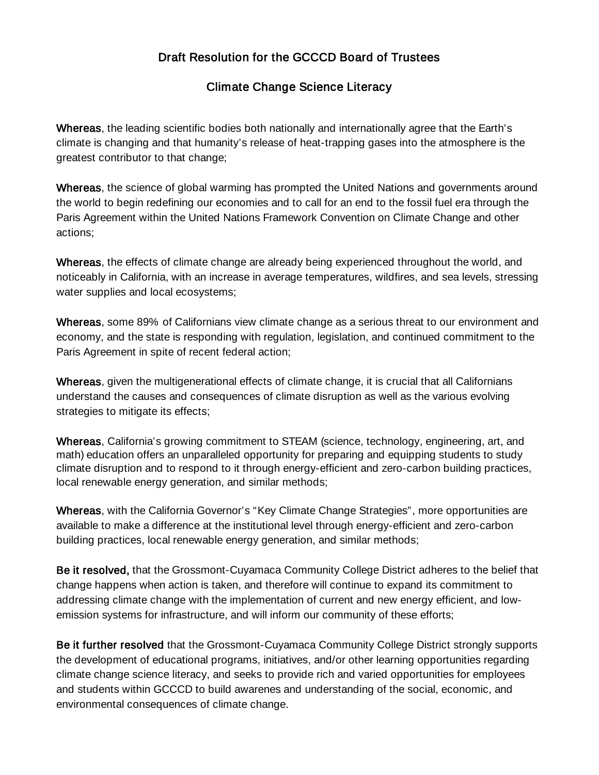## Draft Resolution for the GCCCD Board of Trustees

## Climate Change Science Literacy

Whereas, the leading scientific bodies both nationally and internationally agree that the Earth's climate is changing and that humanity's release of heat-trapping gases into the atmosphere is the greatest contributor to that change;

Whereas, the science of global warming has prompted the United Nations and governments around the world to begin redefining our economies and to call for an end to the fossil fuel era through the Paris Agreement within the United Nations Framework Convention on Climate Change and other actions;

Whereas, the effects of climate change are already being experienced throughout the world, and noticeably in California, with an increase in average temperatures, wildfires, and sea levels, stressing water supplies and local ecosystems;

Whereas, some 89% of Californians view climate change as a serious threat to our environment and economy, and the state is responding with regulation, legislation, and continued commitment to the Paris Agreement in spite of recent federal action;

Whereas, given the multigenerational effects of climate change, it is crucial that all Californians understand the causes and consequences of climate disruption as well as the various evolving strategies to mitigate its effects;

Whereas, California's growing commitment to STEAM (science, technology, engineering, art, and math) education offers an unparalleled opportunity for preparing and equipping students to study climate disruption and to respond to it through energy-efficient and zero-carbon building practices, local renewable energy generation, and similar methods;

Whereas, with the California Governor's "Key Climate Change Strategies", more opportunities are available to make a difference at the institutional level through energy-efficient and zero-carbon building practices, local renewable energy generation, and similar methods;

Be it resolved, that the Grossmont-Cuyamaca Community College District adheres to the belief that change happens when action is taken, and therefore will continue to expand its commitment to addressing climate change with the implementation of current and new energy efficient, and lowemission systems for infrastructure, and will inform our community of these efforts;

Be it further resolved that the Grossmont-Cuyamaca Community College District strongly supports the development of educational programs, initiatives, and/or other learning opportunities regarding climate change science literacy, and seeks to provide rich and varied opportunities for employees and students within GCCCD to build awarenes and understanding of the social, economic, and environmental consequences of climate change.